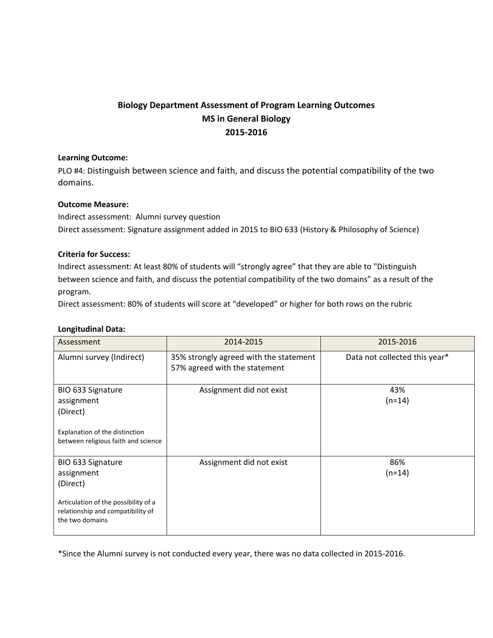# **Biology Department Assessment of Program Learning Outcomes MS in General Biology 2015-2016**

## **Learning Outcome:**

PLO #4: Distinguish between science and faith, and discuss the potential compatibility of the two domains.

## **Outcome Measure:**

Indirect assessment: Alumni survey question Direct assessment: Signature assignment added in 2015 to BIO 633 (History & Philosophy of Science)

## **Criteria for Success:**

Indirect assessment: At least 80% of students will "strongly agree" that they are able to "Distinguish between science and faith, and discuss the potential compatibility of the two domains" as a result of the program.

Direct assessment: 80% of students will score at "developed" or higher for both rows on the rubric

#### **Longitudinal Data:**

| Assessment                                                                                                                                  | 2014-2015                                                               | 2015-2016                     |
|---------------------------------------------------------------------------------------------------------------------------------------------|-------------------------------------------------------------------------|-------------------------------|
| Alumni survey (Indirect)                                                                                                                    | 35% strongly agreed with the statement<br>57% agreed with the statement | Data not collected this year* |
| BIO 633 Signature<br>assignment<br>(Direct)<br>Explanation of the distinction<br>between religious faith and science                        | Assignment did not exist                                                | 43%<br>$(n=14)$               |
| BIO 633 Signature<br>assignment<br>(Direct)<br>Articulation of the possibility of a<br>relationship and compatibility of<br>the two domains | Assignment did not exist                                                | 86%<br>$(n=14)$               |

\*Since the Alumni survey is not conducted every year, there was no data collected in 2015-2016.